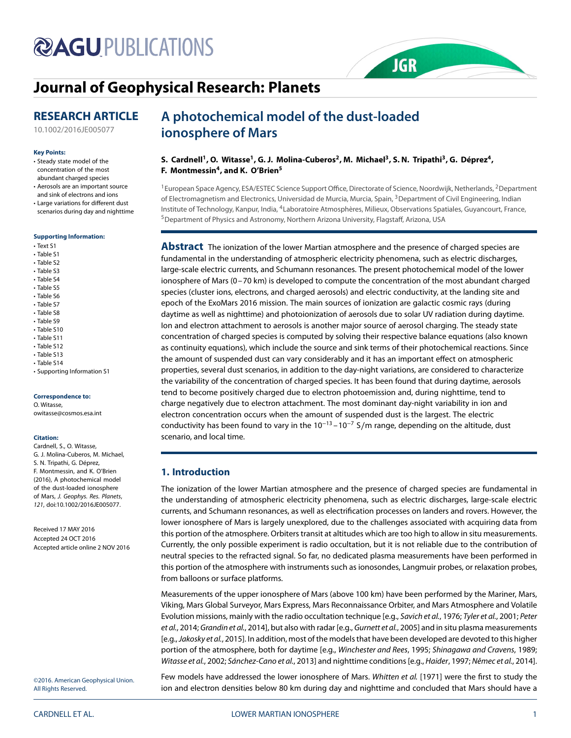# **@AGUPUBLICATIONS**

# **Journal of Geophysical Research: Planets**

## **RESEARCH ARTICLE**

10.1002/2016JE005077

#### **Key Points:**

- Steady state model of the concentration of the most abundant charged species
- Aerosols are an important source and sink of electrons and ions
- Large variations for different dust scenarios during day and nighttime

#### **Supporting Information:**

- Text S1
- Table S1
- Table S2
- Table S3
- Table S4
- Table S5
- Table S6
- Table S7
- Table S8 • Table S9
- Table S10
- Table S11
- Table S12
- Table S13
- Table S14
- Supporting Information S1

#### **Correspondence to:**

O. Witasse, owitasse@cosmos.esa.int

#### **Citation:**

Cardnell, S., O. Witasse, G. J. Molina-Cuberos, M. Michael, S. N. Tripathi, G. Déprez, F. Montmessin, and K. O'Brien (2016), A photochemical model of the dust-loaded ionosphere of Mars, J. Geophys. Res. Planets, 121, doi:10.1002/2016JE005077.

Received 17 MAY 2016 Accepted 24 OCT 2016 Accepted article online 2 NOV 2016

©2016. American Geophysical Union. All Rights Reserved.

## **A photochemical model of the dust-loaded ionosphere of Mars**

## S. Cardnell<sup>1</sup>, O. Witasse<sup>1</sup>, G. J. Molina-Cuberos<sup>2</sup>, M. Michael<sup>3</sup>, S. N. Tripathi<sup>3</sup>, G. Déprez<sup>4</sup>, **F. Montmessin4, and K. O'Brien5**

<sup>1</sup> European Space Agency, ESA/ESTEC Science Support Office, Directorate of Science, Noordwijk, Netherlands, <sup>2</sup>Department of Electromagnetism and Electronics, Universidad de Murcia, Murcia, Spain, <sup>3</sup>Department of Civil Engineering, Indian Institute of Technology, Kanpur, India, 4Laboratoire Atmosphères, Milieux, Observations Spatiales, Guyancourt, France, 5Department of Physics and Astronomy, Northern Arizona University, Flagstaff, Arizona, USA

**JGR** 

**Abstract** The ionization of the lower Martian atmosphere and the presence of charged species are fundamental in the understanding of atmospheric electricity phenomena, such as electric discharges, large-scale electric currents, and Schumann resonances. The present photochemical model of the lower ionosphere of Mars (0–70 km) is developed to compute the concentration of the most abundant charged species (cluster ions, electrons, and charged aerosols) and electric conductivity, at the landing site and epoch of the ExoMars 2016 mission. The main sources of ionization are galactic cosmic rays (during daytime as well as nighttime) and photoionization of aerosols due to solar UV radiation during daytime. Ion and electron attachment to aerosols is another major source of aerosol charging. The steady state concentration of charged species is computed by solving their respective balance equations (also known as continuity equations), which include the source and sink terms of their photochemical reactions. Since the amount of suspended dust can vary considerably and it has an important effect on atmospheric properties, several dust scenarios, in addition to the day-night variations, are considered to characterize the variability of the concentration of charged species. It has been found that during daytime, aerosols tend to become positively charged due to electron photoemission and, during nighttime, tend to charge negatively due to electron attachment. The most dominant day-night variability in ion and electron concentration occurs when the amount of suspended dust is the largest. The electric conductivity has been found to vary in the  $10^{-13}$  –  $10^{-7}$  S/m range, depending on the altitude, dust scenario, and local time.

### **1. Introduction**

The ionization of the lower Martian atmosphere and the presence of charged species are fundamental in the understanding of atmospheric electricity phenomena, such as electric discharges, large-scale electric currents, and Schumann resonances, as well as electrification processes on landers and rovers. However, the lower ionosphere of Mars is largely unexplored, due to the challenges associated with acquiring data from this portion of the atmosphere. Orbiters transit at altitudes which are too high to allow in situ measurements. Currently, the only possible experiment is radio occultation, but it is not reliable due to the contribution of neutral species to the refracted signal. So far, no dedicated plasma measurements have been performed in this portion of the atmosphere with instruments such as ionosondes, Langmuir probes, or relaxation probes, from balloons or surface platforms.

Measurements of the upper ionosphere of Mars (above 100 km) have been performed by the Mariner, Mars, Viking, Mars Global Surveyor, Mars Express, Mars Reconnaissance Orbiter, and Mars Atmosphere and Volatile Evolution missions, mainly with the radio occultation technique [e.g., Savich et al., 1976; Tyler et al., 2001; Peter et al., 2014; Grandin et al., 2014], but also with radar [e.g., Gurnett et al., 2005] and in situ plasma measurements [e.g., Jakosky et al., 2015]. In addition, most of the models that have been developed are devoted to this higher portion of the atmosphere, both for daytime [e.g., Winchester and Rees, 1995; Shinagawa and Cravens, 1989; Witasse et al., 2002; Sánchez-Cano et al., 2013] and nighttime conditions [e.g., Haider, 1997; Němec et al., 2014].

Few models have addressed the lower ionosphere of Mars. Whitten et al. [1971] were the first to study the ion and electron densities below 80 km during day and nighttime and concluded that Mars should have a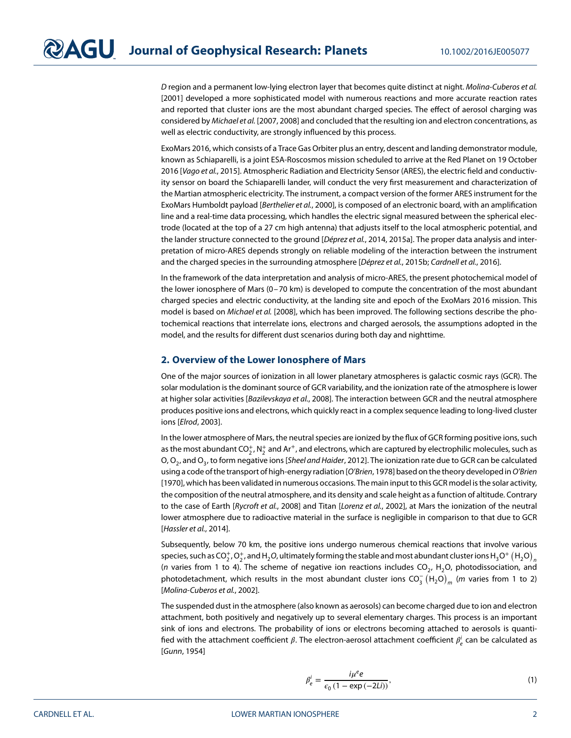D region and a permanent low-lying electron layer that becomes quite distinct at night. Molina-Cuberos et al. [2001] developed a more sophisticated model with numerous reactions and more accurate reaction rates and reported that cluster ions are the most abundant charged species. The effect of aerosol charging was considered by Michael et al. [2007, 2008] and concluded that the resulting ion and electron concentrations, as well as electric conductivity, are strongly influenced by this process.

ExoMars 2016, which consists of a Trace Gas Orbiter plus an entry, descent and landing demonstrator module, known as Schiaparelli, is a joint ESA-Roscosmos mission scheduled to arrive at the Red Planet on 19 October 2016 [Vago et al., 2015]. Atmospheric Radiation and Electricity Sensor (ARES), the electric field and conductivity sensor on board the Schiaparelli lander, will conduct the very first measurement and characterization of the Martian atmospheric electricity. The instrument, a compact version of the former ARES instrument for the ExoMars Humboldt payload [Berthelier et al., 2000], is composed of an electronic board, with an amplification line and a real-time data processing, which handles the electric signal measured between the spherical electrode (located at the top of a 27 cm high antenna) that adjusts itself to the local atmospheric potential, and the lander structure connected to the ground [Déprez et al., 2014, 2015a]. The proper data analysis and interpretation of micro-ARES depends strongly on reliable modeling of the interaction between the instrument and the charged species in the surrounding atmosphere [Déprez et al., 2015b; Cardnell et al., 2016].

In the framework of the data interpretation and analysis of micro-ARES, the present photochemical model of the lower ionosphere of Mars (0–70 km) is developed to compute the concentration of the most abundant charged species and electric conductivity, at the landing site and epoch of the ExoMars 2016 mission. This model is based on Michael et al. [2008], which has been improved. The following sections describe the photochemical reactions that interrelate ions, electrons and charged aerosols, the assumptions adopted in the model, and the results for different dust scenarios during both day and nighttime.

#### **2. Overview of the Lower Ionosphere of Mars**

One of the major sources of ionization in all lower planetary atmospheres is galactic cosmic rays (GCR). The solar modulation is the dominant source of GCR variability, and the ionization rate of the atmosphere is lower at higher solar activities [Bazilevskaya et al., 2008]. The interaction between GCR and the neutral atmosphere produces positive ions and electrons, which quickly react in a complex sequence leading to long-lived cluster ions [Elrod, 2003].

In the lower atmosphere of Mars, the neutral species are ionized by the flux of GCR forming positive ions, such as the most abundant CO $_2^+$ , N $_2^+$  and Ar $^+$ , and electrons, which are captured by electrophilic molecules, such as O, O<sub>2</sub>, and O<sub>3</sub>, to form negative ions [Sheel and Haider, 2012]. The ionization rate due to GCR can be calculated using a code of the transport of high-energy radiation [O'Brien, 1978] based on the theory developed in O'Brien [1970], which has been validated in numerous occasions. The main input to this GCR model is the solar activity, the composition of the neutral atmosphere, and its density and scale height as a function of altitude. Contrary to the case of Earth [Rycroft et al., 2008] and Titan [Lorenz et al., 2002], at Mars the ionization of the neutral lower atmosphere due to radioactive material in the surface is negligible in comparison to that due to GCR [Hassler et al., 2014].

Subsequently, below 70 km, the positive ions undergo numerous chemical reactions that involve various species, such as CO $_2^+$ , O $_2^+$ , and H $_2$ O, ultimately forming the stable and most abundant cluster ions H $_3$ O $^+$   $({\rm H_2O})_{_B}$ (n varies from 1 to 4). The scheme of negative ion reactions includes  $CO<sub>2</sub>$ , H<sub>2</sub>O, photodissociation, and photodetachment, which results in the most abundant cluster ions CO $_3^ \left({\rm H_2O}\right)_m$  (m varies from 1 to 2) [Molina-Cuberos et al., 2002].

The suspended dust in the atmosphere (also known as aerosols) can become charged due to ion and electron attachment, both positively and negatively up to several elementary charges. This process is an important sink of ions and electrons. The probability of ions or electrons becoming attached to aerosols is quantified with the attachment coefficient  $\beta.$  The electron-aerosol attachment coefficient  $\beta_e^i$  can be calculated as [Gunn, 1954]

$$
\beta_e^i = \frac{i\mu^e e}{\epsilon_0 (1 - \exp(-2Li))},\tag{1}
$$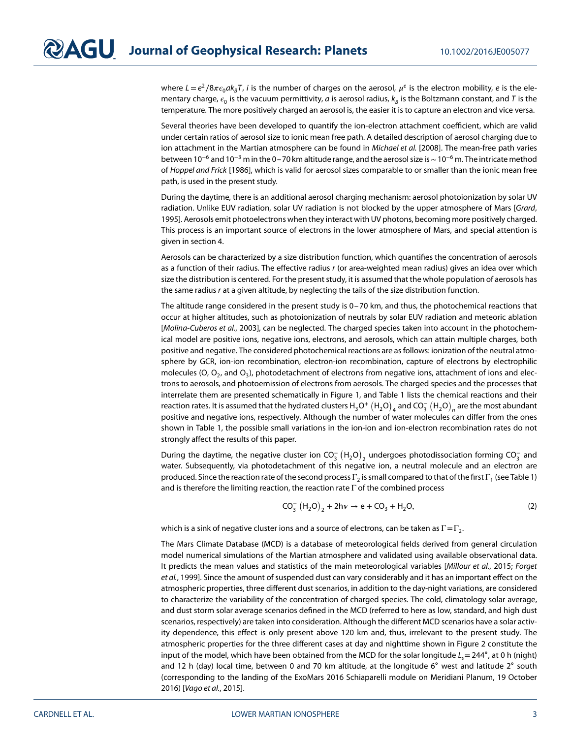where  $L=e^2/8\pi\epsilon_0 a k_B T$ , *i* is the number of charges on the aerosol,  $\mu^e$  is the electron mobility, *e* is the elementary charge,  $\epsilon_0$  is the vacuum permittivity, a is aerosol radius,  $k_B$  is the Boltzmann constant, and T is the temperature. The more positively charged an aerosol is, the easier it is to capture an electron and vice versa.

Several theories have been developed to quantify the ion-electron attachment coefficient, which are valid under certain ratios of aerosol size to ionic mean free path. A detailed description of aerosol charging due to ion attachment in the Martian atmosphere can be found in Michael et al. [2008]. The mean-free path varies between 10<sup>−6</sup> and 10<sup>−3</sup> m in the 0–70 km altitude range, and the aerosol size is ~10<sup>-6</sup> m. The intricate method of Hoppel and Frick [1986], which is valid for aerosol sizes comparable to or smaller than the ionic mean free path, is used in the present study.

During the daytime, there is an additional aerosol charging mechanism: aerosol photoionization by solar UV radiation. Unlike EUV radiation, solar UV radiation is not blocked by the upper atmosphere of Mars [Grard, 1995]. Aerosols emit photoelectrons when they interact with UV photons, becoming more positively charged. This process is an important source of electrons in the lower atmosphere of Mars, and special attention is given in section 4.

Aerosols can be characterized by a size distribution function, which quantifies the concentration of aerosols as a function of their radius. The effective radius r (or area-weighted mean radius) gives an idea over which size the distribution is centered. For the present study, it is assumed that the whole population of aerosols has the same radius r at a given altitude, by neglecting the tails of the size distribution function.

The altitude range considered in the present study is 0–70 km, and thus, the photochemical reactions that occur at higher altitudes, such as photoionization of neutrals by solar EUV radiation and meteoric ablation [Molina-Cuberos et al., 2003], can be neglected. The charged species taken into account in the photochemical model are positive ions, negative ions, electrons, and aerosols, which can attain multiple charges, both positive and negative. The considered photochemical reactions are as follows: ionization of the neutral atmosphere by GCR, ion-ion recombination, electron-ion recombination, capture of electrons by electrophilic molecules (O,  $O_2$ , and  $O_3$ ), photodetachment of electrons from negative ions, attachment of ions and electrons to aerosols, and photoemission of electrons from aerosols. The charged species and the processes that interrelate them are presented schematically in Figure 1, and Table 1 lists the chemical reactions and their reaction rates. It is assumed that the hydrated clusters  $H_3O^+ \left(H_2O\right)_4$  and  $CO_3^-\left(H_2O\right)_n$  are the most abundant positive and negative ions, respectively. Although the number of water molecules can differ from the ones shown in Table 1, the possible small variations in the ion-ion and ion-electron recombination rates do not strongly affect the results of this paper.

During the daytime, the negative cluster ion CO $_3^-(\mathsf{H}_2\mathsf{O})_2$  undergoes photodissociation forming CO $_3^-$  and water. Subsequently, via photodetachment of this negative ion, a neutral molecule and an electron are produced. Since the reaction rate of the second process Γ<sub>2</sub> is small compared to that of the first Γ<sub>1</sub> (see Table 1) and is therefore the limiting reaction, the reaction rate  $\Gamma$  of the combined process

$$
CO_3^- (H_2O)_2 + 2hv \to e + CO_3 + H_2O,
$$
 (2)

which is a sink of negative cluster ions and a source of electrons, can be taken as  $\Gamma = \Gamma_2$ .

The Mars Climate Database (MCD) is a database of meteorological fields derived from general circulation model numerical simulations of the Martian atmosphere and validated using available observational data. It predicts the mean values and statistics of the main meteorological variables [Millour et al., 2015; Forget et al., 1999]. Since the amount of suspended dust can vary considerably and it has an important effect on the atmospheric properties, three different dust scenarios, in addition to the day-night variations, are considered to characterize the variability of the concentration of charged species. The cold, climatology solar average, and dust storm solar average scenarios defined in the MCD (referred to here as low, standard, and high dust scenarios, respectively) are taken into consideration. Although the different MCD scenarios have a solar activity dependence, this effect is only present above 120 km and, thus, irrelevant to the present study. The atmospheric properties for the three different cases at day and nighttime shown in Figure 2 constitute the input of the model, which have been obtained from the MCD for the solar longitude  $L<sub>s</sub>= 244°$ , at 0 h (night) and 12 h (day) local time, between 0 and 70 km altitude, at the longitude 6∘ west and latitude 2∘ south (corresponding to the landing of the ExoMars 2016 Schiaparelli module on Meridiani Planum, 19 October 2016) [Vago et al., 2015].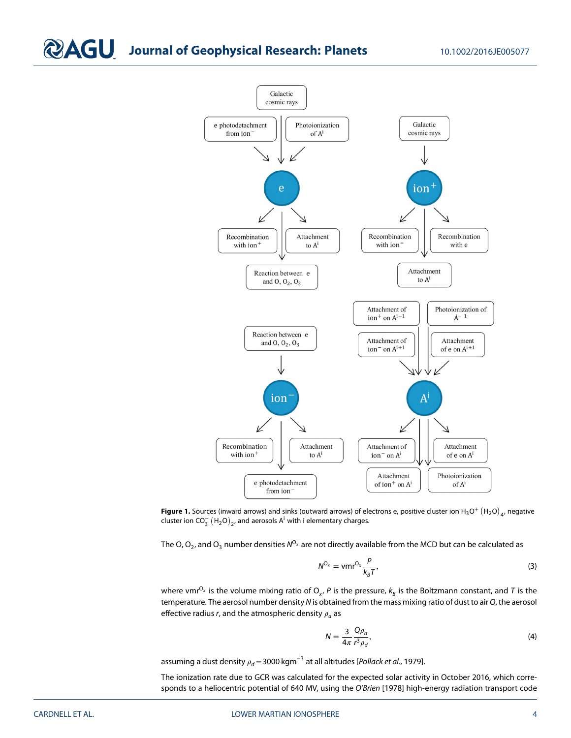# **Journal of Geophysical Research: Planets** 10.1002/2016JE005077





The O, O<sub>2</sub>, and O<sub>3</sub> number densities  $N^{O_x}$  are not directly available from the MCD but can be calculated as

$$
N^{O_x} = \mathsf{vmr}^{O_x} \frac{P}{k_B T},\tag{3}
$$

where vmr<sup>O<sub>x</sub></sup> is the volume mixing ratio of O<sub>x</sub>, P is the pressure,  $k_B$  is the Boltzmann constant, and T is the temperature. The aerosol number density N is obtained from the mass mixing ratio of dust to air Q, the aerosol effective radius r, and the atmospheric density  $\rho_a$  as

$$
N = \frac{3}{4\pi} \frac{Q\rho_a}{r^3 \rho_d},\tag{4}
$$

assuming a dust density  $\rho_d = 3000 \text{ kgm}^{-3}$  at all altitudes [Pollack et al., 1979].

The ionization rate due to GCR was calculated for the expected solar activity in October 2016, which corresponds to a heliocentric potential of 640 MV, using the O'Brien [1978] high-energy radiation transport code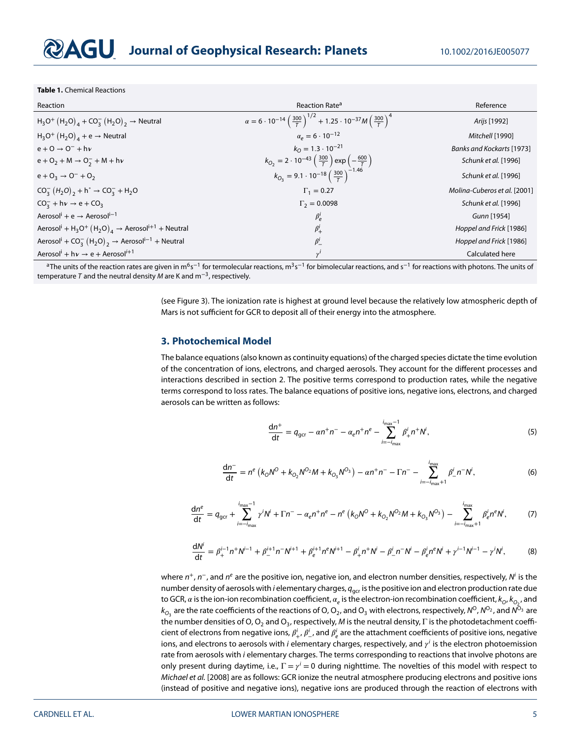**Table 1.** Chemical Reactions

| Reaction                                                                                           | Reaction Rate <sup>a</sup>                                                                                          | Reference                    |
|----------------------------------------------------------------------------------------------------|---------------------------------------------------------------------------------------------------------------------|------------------------------|
| $H_3O^+ (H_2O)_4 + CO_3^- (H_2O)_2 \rightarrow$ Neutral                                            | $\alpha = 6 \cdot 10^{-14} \left(\frac{300}{T}\right)^{1/2} + 1.25 \cdot 10^{-37} M \left(\frac{300}{T}\right)^{4}$ | Arijs [1992]                 |
| $H_3O^+ (H_2O)_4 + e \rightarrow$ Neutral                                                          | $\alpha_e = 6 \cdot 10^{-12}$                                                                                       | Mitchell [1990]              |
| $e + O \rightarrow O^- + h\nu$                                                                     | $k_0 = 1.3 \cdot 10^{-21}$                                                                                          | Banks and Kockarts [1973]    |
| $e + O_2 + M \rightarrow O_2^- + M + h\nu$                                                         | $k_{O_2} = 2 \cdot 10^{-43} \left(\frac{300}{T}\right) \exp \left(-\frac{600}{T}\right)$                            | Schunk et al. [1996]         |
| $e + O_3 \rightarrow O^- + O_2$                                                                    | $k_{O_3} = 9.1 \cdot 10^{-18} \left(\frac{300}{7}\right)^{2.1.46}$                                                  | Schunk et al. [1996]         |
| $CO_3^- (H_2O)_2 + h^{\circ} \rightarrow CO_3^- + H_2O$                                            | $\Gamma_1 = 0.27$                                                                                                   | Molina-Cuberos et al. [2001] |
| $CO_3^- + h\nu \to e + CO_3$                                                                       | $\Gamma_2 = 0.0098$                                                                                                 | Schunk et al. [1996]         |
| Aerosol <sup>i</sup> + e $\rightarrow$ Aerosol <sup>i-1</sup>                                      | $\beta_e^i$                                                                                                         | Gunn [1954]                  |
| Aerosol <sup>i</sup> + H <sub>3</sub> O <sup>+</sup> $(H_2O)_4$ → Aerosol <sup>i+1</sup> + Neutral | $\beta^i_+$                                                                                                         | Hoppel and Frick [1986]      |
| Aerosol <sup>i</sup> + CO <sub>3</sub> $(H_2O)_2$ → Aerosol <sup>i-1</sup> + Neutral               | $\beta_-^i$                                                                                                         | Hoppel and Frick [1986]      |
| Aerosol <sup>i</sup> + h $v \rightarrow e +$ Aerosol <sup>i+1</sup>                                | $\nu'$                                                                                                              | Calculated here              |

<sup>a</sup>The units of the reaction rates are given in m<sup>6</sup>s<sup>−1</sup> for termolecular reactions, m<sup>3</sup>s<sup>−1</sup> for bimolecular reactions, and s<sup>−1</sup> for reactions with photons. The units of temperature T and the neutral density M are K and  $m^{-3}$ , respectively.

> (see Figure 3). The ionization rate is highest at ground level because the relatively low atmospheric depth of Mars is not sufficient for GCR to deposit all of their energy into the atmosphere.

#### **3. Photochemical Model**

The balance equations (also known as continuity equations) of the charged species dictate the time evolution of the concentration of ions, electrons, and charged aerosols. They account for the different processes and interactions described in section 2. The positive terms correspond to production rates, while the negative terms correspond to loss rates. The balance equations of positive ions, negative ions, electrons, and charged aerosols can be written as follows:

$$
\frac{dn^{+}}{dt} = q_{\text{gcr}} - \alpha n^{+} n^{-} - \alpha_{e} n^{+} n^{e} - \sum_{i=-i_{\text{max}}}^{i_{\text{max}}-1} \beta_{+}^{i} n^{+} N^{i}, \tag{5}
$$

$$
\frac{dn^{-}}{dt} = n^{e} \left( k_{0} N^{O} + k_{0_{2}} N^{O_{2}} M + k_{0_{3}} N^{O_{3}} \right) - \alpha n^{+} n^{-} - \Gamma n^{-} - \sum_{i=-i_{\text{max}}+1}^{i_{\text{max}}} \beta_{i}^{i} n^{-} N^{i}, \tag{6}
$$

$$
\frac{dn^{e}}{dt} = q_{ger} + \sum_{i=-i_{max}}^{i_{max}-1} \gamma^{i} N^{i} + \Gamma n^{-} - \alpha_{e} n^{+} n^{e} - n^{e} \left( k_{O} N^{O} + k_{O_{2}} N^{O_{2}} M + k_{O_{3}} N^{O_{3}} \right) - \sum_{i=-i_{max}+1}^{i_{max}} \beta_{e}^{i} n^{e} N^{i},
$$
 (7)

$$
\frac{dN^{i}}{dt} = \beta_{+}^{i-1} n^{+} N^{i-1} + \beta_{-}^{i+1} n^{-} N^{i+1} + \beta_{e}^{i+1} n^{e} N^{i+1} - \beta_{+}^{i} n^{+} N^{i} - \beta_{-}^{i} n^{-} N^{i} - \beta_{e}^{i} n^{e} N^{i} + \gamma_{-}^{i-1} N^{i-1} - \gamma_{-}^{i} N^{i},
$$
(8)

where  $n^+$ ,  $n^-$ , and  $n^e$  are the positive ion, negative ion, and electron number densities, respectively, N<sup>i</sup> is the number density of aerosols with *i* elementary charges,  $q_{\text{qcr}}$  is the positive ion and electron production rate due to GCR,  $\alpha$  is the ion-ion recombination coefficient,  $\alpha_e$  is the electron-ion recombination coefficient,  $k_{O}, k_{O_2},$  and  $k_{O_3}$  are the rate coefficients of the reactions of O, O<sub>2</sub>, and O<sub>3</sub> with electrons, respectively, N<sup>O</sup>, N<sup>O2</sup>, and N<sup>O<sub>3</sub></sup> are the number densities of O, O<sub>2</sub> and O<sub>3</sub>, respectively, M is the neutral density, Γ is the photodetachment coefficient of electrons from negative ions,  $\beta_+^i$ ,  $\beta_-^i$ , and  $\beta_e^i$  are the attachment coefficients of positive ions, negative ions, and electrons to aerosols with i elementary charges, respectively, and  $\gamma^i$  is the electron photoemission rate from aerosols with i elementary charges. The terms corresponding to reactions that involve photons are only present during daytime, i.e.,  $\Gamma = \gamma^i = 0$  during nighttime. The novelties of this model with respect to Michael et al. [2008] are as follows: GCR ionize the neutral atmosphere producing electrons and positive ions (instead of positive and negative ions), negative ions are produced through the reaction of electrons with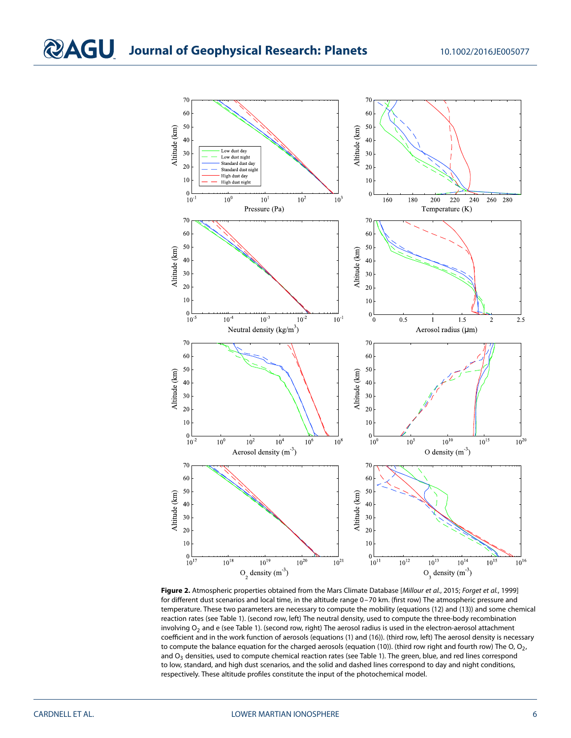

Figure 2. Atmospheric properties obtained from the Mars Climate Database [Millour et al., 2015; Forget et al., 1999] for different dust scenarios and local time, in the altitude range 0–70 km. (first row) The atmospheric pressure and temperature. These two parameters are necessary to compute the mobility (equations (12) and (13)) and some chemical reaction rates (see Table 1). (second row, left) The neutral density, used to compute the three-body recombination involving  $O_2$  and e (see Table 1). (second row, right) The aerosol radius is used in the electron-aerosol attachment coefficient and in the work function of aerosols (equations (1) and (16)). (third row, left) The aerosol density is necessary to compute the balance equation for the charged aerosols (equation (10)). (third row right and fourth row) The O,  $O_2$ , and  $O_3$  densities, used to compute chemical reaction rates (see Table 1). The green, blue, and red lines correspond to low, standard, and high dust scenarios, and the solid and dashed lines correspond to day and night conditions, respectively. These altitude profiles constitute the input of the photochemical model.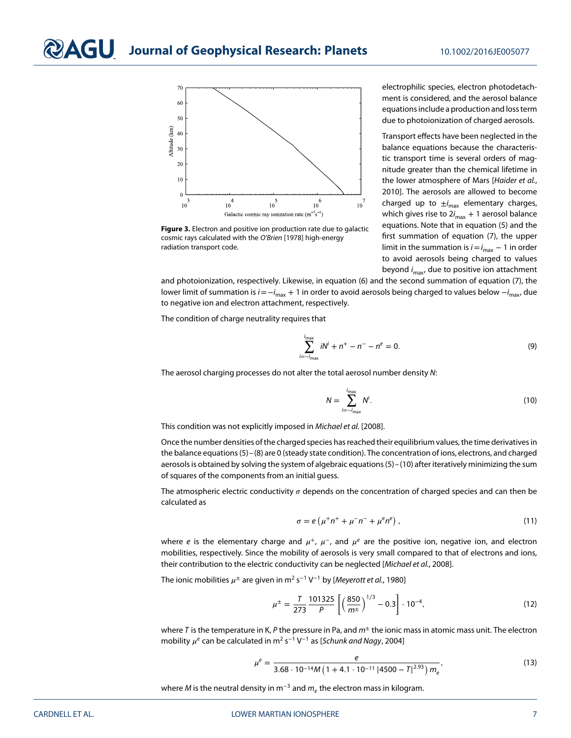

**Figure 3.** Electron and positive ion production rate due to galactic cosmic rays calculated with the O'Brien [1978] high-energy radiation transport code.

electrophilic species, electron photodetachment is considered, and the aerosol balance equations include a production and loss term due to photoionization of charged aerosols.

Transport effects have been neglected in the balance equations because the characteristic transport time is several orders of magnitude greater than the chemical lifetime in the lower atmosphere of Mars [Haider et al., 2010]. The aerosols are allowed to become charged up to  $\pm i_{\sf max}$  elementary charges, which gives rise to 2 $i_{\sf max}$  + 1 aerosol balance equations. Note that in equation (5) and the first summation of equation (7), the upper limit in the summation is  $i\!=\!i_{\sf max}-1$  in order to avoid aerosols being charged to values beyond *i<sub>max</sub>,* due to positive ion attachment

and photoionization, respectively. Likewise, in equation (6) and the second summation of equation (7), the lower limit of summation is  $i$  =−i $_{\sf max}$  + 1 in order to avoid aerosols being charged to values below  $-i_{\sf max}$ , due to negative ion and electron attachment, respectively.

The condition of charge neutrality requires that

$$
\sum_{n=-i_{\text{max}}}^{i_{\text{max}}} iN^i + n^+ - n^- - n^e = 0.
$$
 (9)

i=−i The aerosol charging processes do not alter the total aerosol number density N:

$$
N = \sum_{i=-i_{\text{max}}}^{i_{\text{max}}} N^i.
$$
 (10)

This condition was not explicitly imposed in Michael et al. [2008].

Once the number densities of the charged species has reached their equilibrium values, the time derivatives in the balance equations (5)–(8) are 0 (steady state condition). The concentration of ions, electrons, and charged aerosols is obtained by solving the system of algebraic equations (5)–(10) after iteratively minimizing the sum of squares of the components from an initial guess.

The atmospheric electric conductivity  $\sigma$  depends on the concentration of charged species and can then be calculated as

$$
\sigma = e\left(\mu^+ n^+ + \mu^- n^- + \mu^e n^e\right),\tag{11}
$$

where e is the elementary charge and  $\mu^+$ ,  $\mu^-$ , and  $\mu^e$  are the positive ion, negative ion, and electron mobilities, respectively. Since the mobility of aerosols is very small compared to that of electrons and ions, their contribution to the electric conductivity can be neglected [Michael et al., 2008].

The ionic mobilities  $\mu^{\pm}$  are given in m<sup>2</sup> s<sup>-1</sup> V<sup>-1</sup> by [*Meyerott et al.*, 1980]

$$
\mu^{\pm} = \frac{7}{273} \frac{101325}{P} \left[ \left( \frac{850}{m^{\pm}} \right)^{1/3} - 0.3 \right] \cdot 10^{-4},\tag{12}
$$

where T is the temperature in K, P the pressure in Pa, and  $m^{\pm}$  the ionic mass in atomic mass unit. The electron mobility  $\mu^e$  can be calculated in m<sup>2</sup> s<sup>-1</sup> V<sup>-1</sup> as [Schunk and Nagy, 2004]

$$
\mu^{e} = \frac{e}{3.68 \cdot 10^{-14} M \left(1 + 4.1 \cdot 10^{-11} \left|4500 - T\right|^{2.93}\right) m_{e}},\tag{13}
$$

where M is the neutral density in m<sup>-3</sup> and  $m_e$  the electron mass in kilogram.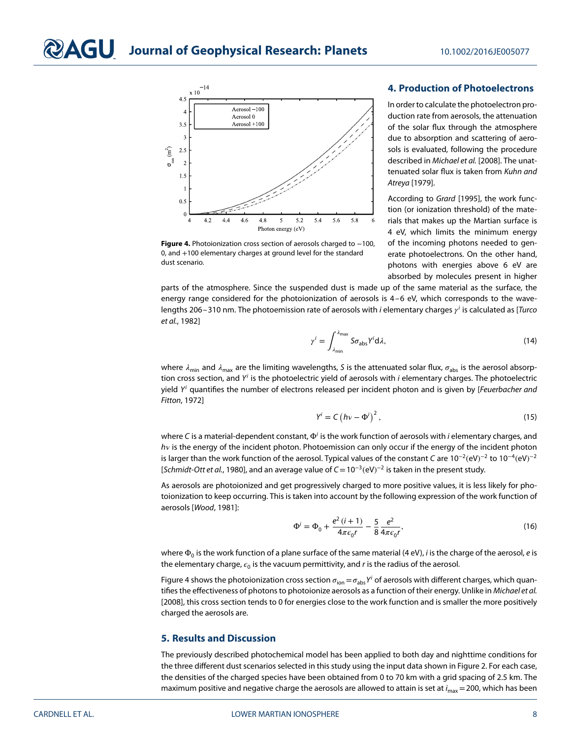

**Figure 4.** Photoionization cross section of aerosols charged to −100, 0, and +100 elementary charges at ground level for the standard dust scenario.

#### **4. Production of Photoelectrons**

In order to calculate the photoelectron production rate from aerosols, the attenuation of the solar flux through the atmosphere due to absorption and scattering of aerosols is evaluated, following the procedure described in Michael et al. [2008]. The unattenuated solar flux is taken from Kuhn and Atreya [1979].

According to Grard [1995], the work function (or ionization threshold) of the materials that makes up the Martian surface is 4 eV, which limits the minimum energy of the incoming photons needed to generate photoelectrons. On the other hand, photons with energies above 6 eV are absorbed by molecules present in higher

parts of the atmosphere. Since the suspended dust is made up of the same material as the surface, the energy range considered for the photoionization of aerosols is 4–6 eV, which corresponds to the wavelengths 206–310 nm. The photoemission rate of aerosols with *i* elementary charges  $y^{i}$  is calculated as [Turco et al., 1982]

$$
\gamma^i = \int_{\lambda_{\min}}^{\lambda_{\max}} S \sigma_{\text{abs}} Y^i \, \mathrm{d}\lambda,\tag{14}
$$

where  $\lambda_{\min}$  and  $\lambda_{\max}$  are the limiting wavelengths, S is the attenuated solar flux,  $\sigma_{\min}$  is the aerosol absorption cross section, and  $Y^i$  is the photoelectric yield of aerosols with i elementary charges. The photoelectric yield  $Y^i$  quantifies the number of electrons released per incident photon and is given by [Feuerbacher and Fitton, 1972]

$$
Y^{i} = C \left( h\nu - \Phi^{i} \right)^{2}, \qquad (15)
$$

where C is a material-dependent constant, Φ<sup>i</sup> is the work function of aerosols with *i* elementary charges, and  $hv$  is the energy of the incident photon. Photoemission can only occur if the energy of the incident photon is larger than the work function of the aerosol. Typical values of the constant C are 10<sup>−2</sup>(eV)<sup>−2</sup> to 10<sup>−4</sup>(eV)<sup>−2</sup> [Schmidt-Ott et al., 1980], and an average value of  $C = 10^{-3}$ (eV)<sup>-2</sup> is taken in the present study.

As aerosols are photoionized and get progressively charged to more positive values, it is less likely for photoionization to keep occurring. This is taken into account by the following expression of the work function of aerosols [Wood, 1981]:

$$
\Phi^{i} = \Phi_{0} + \frac{e^{2}(i+1)}{4\pi\epsilon_{0}r} - \frac{5}{8}\frac{e^{2}}{4\pi\epsilon_{0}r},
$$
\n(16)

where  $\Phi_0$  is the work function of a plane surface of the same material (4 eV), *i* is the charge of the aerosol, *e* is the elementary charge,  $\epsilon_0$  is the vacuum permittivity, and r is the radius of the aerosol.

Figure 4 shows the photoionization cross section  $\sigma_{ion}=\sigma_{abs}Y^i$  of aerosols with different charges, which quantifies the effectiveness of photons to photoionize aerosols as a function of their energy. Unlike in Michael et al. [2008], this cross section tends to 0 for energies close to the work function and is smaller the more positively charged the aerosols are.

#### **5. Results and Discussion**

The previously described photochemical model has been applied to both day and nighttime conditions for the three different dust scenarios selected in this study using the input data shown in Figure 2. For each case, the densities of the charged species have been obtained from 0 to 70 km with a grid spacing of 2.5 km. The maximum positive and negative charge the aerosols are allowed to attain is set at  $i_{\sf max}$  = 200, which has been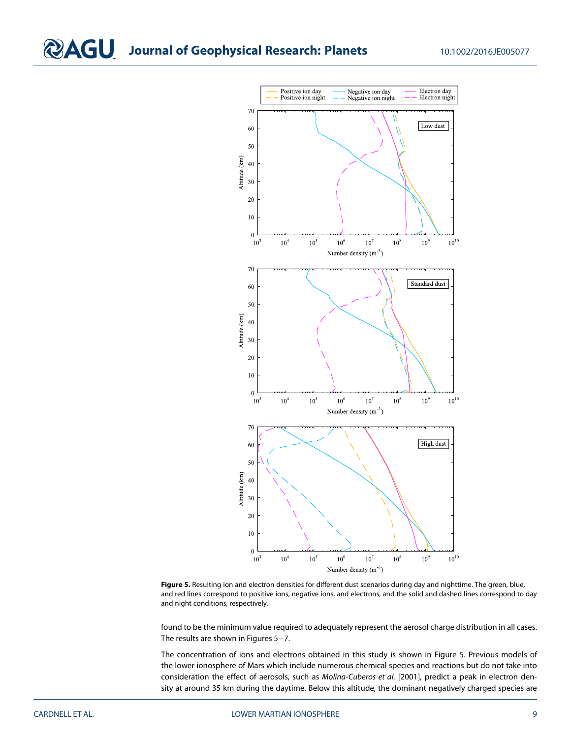

**Figure 5.** Resulting ion and electron densities for different dust scenarios during day and nighttime. The green, blue, and red lines correspond to positive ions, negative ions, and electrons, and the solid and dashed lines correspond to day and night conditions, respectively.

found to be the minimum value required to adequately represent the aerosol charge distribution in all cases. The results are shown in Figures 5–7.

The concentration of ions and electrons obtained in this study is shown in Figure 5. Previous models of the lower ionosphere of Mars which include numerous chemical species and reactions but do not take into consideration the effect of aerosols, such as Molina-Cuberos et al. [2001], predict a peak in electron density at around 35 km during the daytime. Below this altitude, the dominant negatively charged species are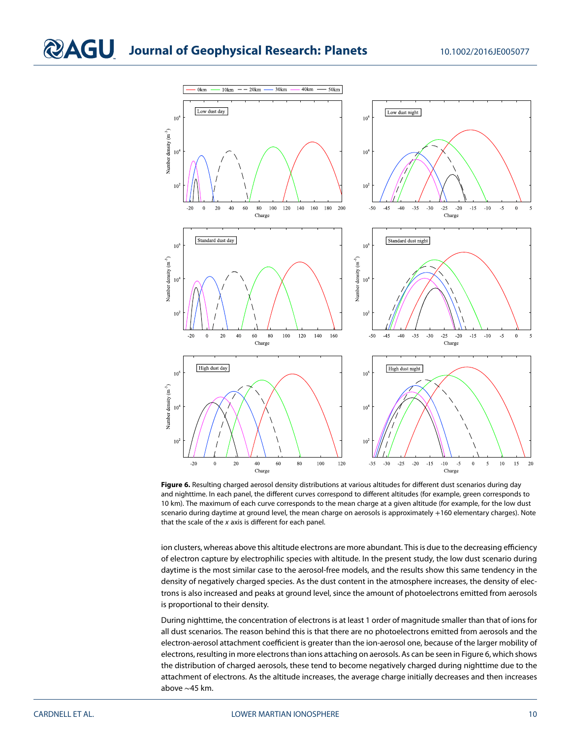

**Figure 6.** Resulting charged aerosol density distributions at various altitudes for different dust scenarios during day and nighttime. In each panel, the different curves correspond to different altitudes (for example, green corresponds to 10 km). The maximum of each curve corresponds to the mean charge at a given altitude (for example, for the low dust scenario during daytime at ground level, the mean charge on aerosols is approximately +160 elementary charges). Note that the scale of the  $x$  axis is different for each panel.

ion clusters, whereas above this altitude electrons are more abundant. This is due to the decreasing efficiency of electron capture by electrophilic species with altitude. In the present study, the low dust scenario during daytime is the most similar case to the aerosol-free models, and the results show this same tendency in the density of negatively charged species. As the dust content in the atmosphere increases, the density of electrons is also increased and peaks at ground level, since the amount of photoelectrons emitted from aerosols is proportional to their density.

During nighttime, the concentration of electrons is at least 1 order of magnitude smaller than that of ions for all dust scenarios. The reason behind this is that there are no photoelectrons emitted from aerosols and the electron-aerosol attachment coefficient is greater than the ion-aerosol one, because of the larger mobility of electrons, resulting in more electrons than ions attaching on aerosols. As can be seen in Figure 6, which shows the distribution of charged aerosols, these tend to become negatively charged during nighttime due to the attachment of electrons. As the altitude increases, the average charge initially decreases and then increases above ∼45 km.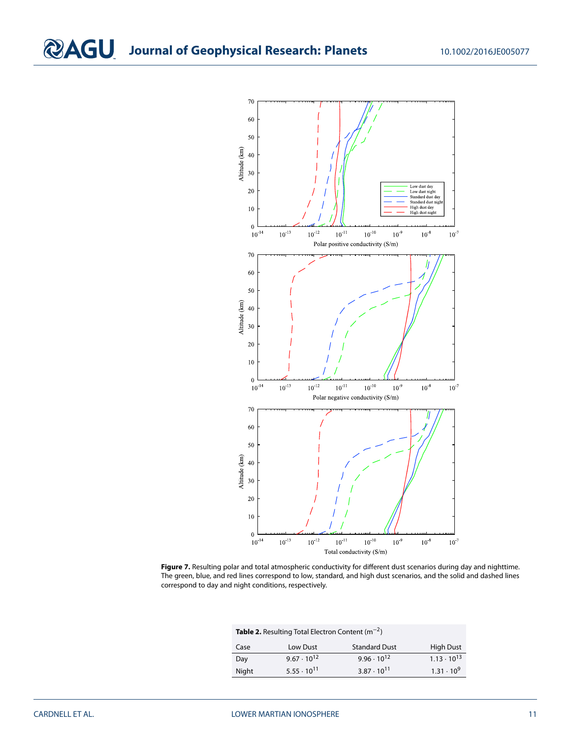

**Figure 7.** Resulting polar and total atmospheric conductivity for different dust scenarios during day and nighttime. The green, blue, and red lines correspond to low, standard, and high dust scenarios, and the solid and dashed lines correspond to day and night conditions, respectively.

**Table 2.** Resulting Total Electron Content (m<sup>−</sup>2)

| Case  | Low Dust             | <b>Standard Dust</b> | <b>High Dust</b>     |
|-------|----------------------|----------------------|----------------------|
| Day   | $9.67 \cdot 10^{12}$ | $9.96 \cdot 10^{12}$ | $1.13 \cdot 10^{13}$ |
| Night | $5.55 \cdot 10^{11}$ | $3.87 \cdot 10^{11}$ | $1.31 \cdot 10^{9}$  |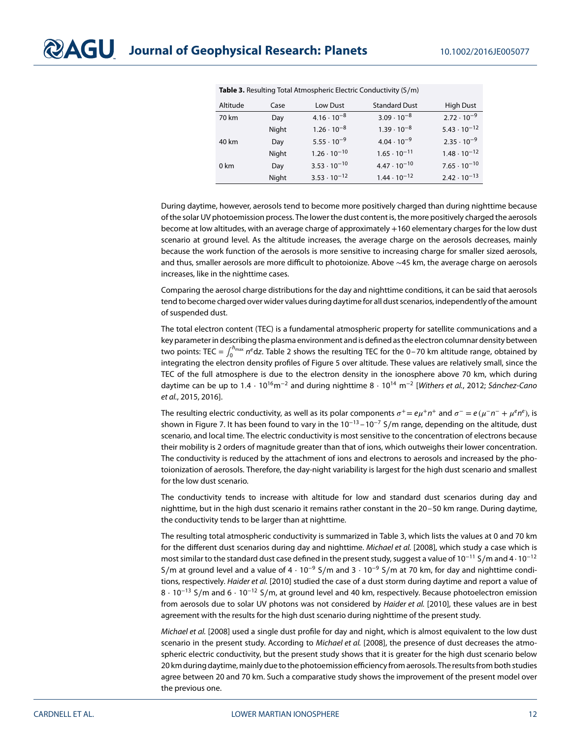| Altitude | Case  | Low Dust              | <b>Standard Dust</b>  | <b>High Dust</b>      |
|----------|-------|-----------------------|-----------------------|-----------------------|
| 70 km    | Day   | $4.16 \cdot 10^{-8}$  | $3.09 \cdot 10^{-8}$  | $2.72 \cdot 10^{-9}$  |
|          | Night | $1.26 \cdot 10^{-8}$  | $1.39 \cdot 10^{-8}$  | $5.43 \cdot 10^{-12}$ |
| 40 km    | Day   | $5.55 \cdot 10^{-9}$  | $4.04 \cdot 10^{-9}$  | $2.35 \cdot 10^{-9}$  |
|          | Night | $1.26 \cdot 10^{-10}$ | $1.65 \cdot 10^{-11}$ | $1.48 \cdot 10^{-12}$ |
| 0 km     | Day   | $3.53 \cdot 10^{-10}$ | $4.47 \cdot 10^{-10}$ | $7.65 \cdot 10^{-10}$ |
|          | Night | $3.53 \cdot 10^{-12}$ | $1.44 \cdot 10^{-12}$ | $2.42 \cdot 10^{-13}$ |

**Table 3.** Resulting Total Atmospheric Electric Conductivity (S∕m)

During daytime, however, aerosols tend to become more positively charged than during nighttime because of the solar UV photoemission process. The lower the dust content is, the more positively charged the aerosols become at low altitudes, with an average charge of approximately +160 elementary charges for the low dust scenario at ground level. As the altitude increases, the average charge on the aerosols decreases, mainly because the work function of the aerosols is more sensitive to increasing charge for smaller sized aerosols, and thus, smaller aerosols are more difficult to photoionize. Above ∼45 km, the average charge on aerosols increases, like in the nighttime cases.

Comparing the aerosol charge distributions for the day and nighttime conditions, it can be said that aerosols tend to become charged over wider values during daytime for all dust scenarios, independently of the amount of suspended dust.

The total electron content (TEC) is a fundamental atmospheric property for satellite communications and a key parameter in describing the plasma environment and is defined as the electron columnar density between two points: TEC =  $\int_0^{h_{\sf max}} n^e {\sf d}z$ . Table 2 shows the resulting TEC for the 0–70 km altitude range, obtained by integrating the electron density profiles of Figure 5 over altitude. These values are relatively small, since the TEC of the full atmosphere is due to the electron density in the ionosphere above 70 km, which during daytime can be up to 1.4 ⋅ 10<sup>16</sup>m<sup>-2</sup> and during nighttime 8 ⋅ 10<sup>14</sup> m<sup>-2</sup> [Withers et al., 2012; Sánchez-Cano et al., 2015, 2016].

The resulting electric conductivity, as well as its polar components  $\sigma^+ = e\mu^+ n^+$  and  $\sigma^- = e(\mu^- n^- + \mu^e n^e)$ , is shown in Figure 7. It has been found to vary in the  $10^{-13} - 10^{-7}$  S/m range, depending on the altitude, dust scenario, and local time. The electric conductivity is most sensitive to the concentration of electrons because their mobility is 2 orders of magnitude greater than that of ions, which outweighs their lower concentration. The conductivity is reduced by the attachment of ions and electrons to aerosols and increased by the photoionization of aerosols. Therefore, the day-night variability is largest for the high dust scenario and smallest for the low dust scenario.

The conductivity tends to increase with altitude for low and standard dust scenarios during day and nighttime, but in the high dust scenario it remains rather constant in the 20–50 km range. During daytime, the conductivity tends to be larger than at nighttime.

The resulting total atmospheric conductivity is summarized in Table 3, which lists the values at 0 and 70 km for the different dust scenarios during day and nighttime. Michael et al. [2008], which study a case which is most similar to the standard dust case defined in the present study, suggest a value of 10<sup>-11</sup> S/m and 4⋅10<sup>-12</sup> S/m at ground level and a value of  $4 \cdot 10^{-9}$  S/m and  $3 \cdot 10^{-9}$  S/m at 70 km, for day and nighttime conditions, respectively. Haider et al. [2010] studied the case of a dust storm during daytime and report a value of 8 ⋅ 10<sup>−</sup><sup>13</sup> S∕m and 6 ⋅ 10<sup>−</sup><sup>12</sup> S∕m, at ground level and 40 km, respectively. Because photoelectron emission from aerosols due to solar UV photons was not considered by Haider et al. [2010], these values are in best agreement with the results for the high dust scenario during nighttime of the present study.

Michael et al. [2008] used a single dust profile for day and night, which is almost equivalent to the low dust scenario in the present study. According to Michael et al. [2008], the presence of dust decreases the atmospheric electric conductivity, but the present study shows that it is greater for the high dust scenario below 20 km during daytime, mainly due to the photoemission efficiency from aerosols. The results from both studies agree between 20 and 70 km. Such a comparative study shows the improvement of the present model over the previous one.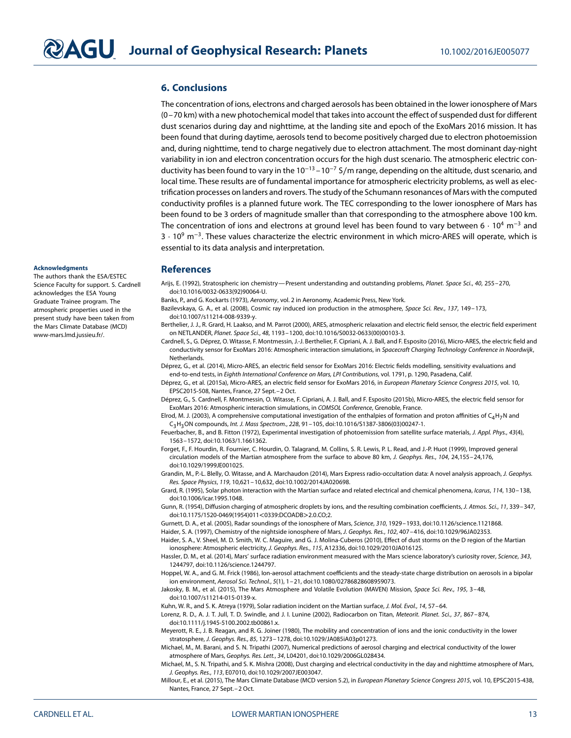### **6. Conclusions**

The concentration of ions, electrons and charged aerosols has been obtained in the lower ionosphere of Mars (0–70 km) with a new photochemical model that takes into account the effect of suspended dust for different dust scenarios during day and nighttime, at the landing site and epoch of the ExoMars 2016 mission. It has been found that during daytime, aerosols tend to become positively charged due to electron photoemission and, during nighttime, tend to charge negatively due to electron attachment. The most dominant day-night variability in ion and electron concentration occurs for the high dust scenario. The atmospheric electric conductivity has been found to vary in the 10<sup>-13</sup> –10<sup>-7</sup> S/m range, depending on the altitude, dust scenario, and local time. These results are of fundamental importance for atmospheric electricity problems, as well as electrification processes on landers and rovers. The study of the Schumann resonances of Mars with the computed conductivity profiles is a planned future work. The TEC corresponding to the lower ionosphere of Mars has been found to be 3 orders of magnitude smaller than that corresponding to the atmosphere above 100 km. The concentration of ions and electrons at ground level has been found to vary between  $6 \cdot 10^4$  m<sup>-3</sup> and 3 ⋅ 10<sup>9</sup> m<sup>-3</sup>. These values characterize the electric environment in which micro-ARES will operate, which is essential to its data analysis and interpretation.

#### **Acknowledgments**

The authors thank the ESA/ESTEC Science Faculty for support. S. Cardnell acknowledges the ESA Young Graduate Trainee program. The atmospheric properties used in the present study have been taken from the Mars Climate Database (MCD) www-mars.lmd.jussieu.fr/.

#### **References**

Arijs, E. (1992), Stratospheric ion chemistry—Present understanding and outstanding problems, Planet. Space Sci., 40, 255–270, doi:10.1016/0032-0633(92)90064-U.

- Banks, P., and G. Kockarts (1973), Aeronomy, vol. 2 in Aeronomy, Academic Press, New York.
- Bazilevskaya, G. A., et al. (2008), Cosmic ray induced ion production in the atmosphere, Space Sci. Rev., 137, 149–173, doi:10.1007/s11214-008-9339-y.
- Berthelier, J. J., R. Grard, H. Laakso, and M. Parrot (2000), ARES, atmospheric relaxation and electric field sensor, the electric field experiment on NETLANDER, Planet. Space Sci., 48, 1193–1200, doi:10.1016/S0032-0633(00)00103-3.

Cardnell, S., G. Déprez, O. Witasse, F. Montmessin, J.-J. Berthelier, F. Cipriani, A. J. Ball, and F. Esposito (2016), Micro-ARES, the electric field and conductivity sensor for ExoMars 2016: Atmospheric interaction simulations, in Spacecraft Charging Technology Conference in Noordwijk, **Netherlands** 

- Déprez, G., et al. (2014), Micro-ARES, an electric field sensor for ExoMars 2016: Electric fields modelling, sensitivity evaluations and end-to-end tests, in Eighth International Conference on Mars, LPI Contributions, vol. 1791, p. 1290, Pasadena, Calif.
- Déprez, G., et al. (2015a), Micro-ARES, an electric field sensor for ExoMars 2016, in European Planetary Science Congress 2015, vol. 10, EPSC2015-508, Nantes, France, 27 Sept.–2 Oct.
- Déprez, G., S. Cardnell, F. Montmessin, O. Witasse, F. Cipriani, A. J. Ball, and F. Esposito (2015b), Micro-ARES, the electric field sensor for ExoMars 2016: Atmospheric interaction simulations, in COMSOL Conference, Grenoble, France.
- Elrod, M. J. (2003), A comprehensive computational investigation of the enthalpies of formation and proton affinities of  $C_4H_7N$  and C<sub>3</sub>H<sub>3</sub>ON compounds, Int. J. Mass Spectrom., 228, 91-105, doi:10.1016/S1387-3806(03)00247-1.
- Feuerbacher, B., and B. Fitton (1972), Experimental investigation of photoemission from satellite surface materials, J. Appl. Phys., 43(4), 1563–1572, doi:10.1063/1.1661362.
- Forget, F., F. Hourdin, R. Fournier, C. Hourdin, O. Talagrand, M. Collins, S. R. Lewis, P. L. Read, and J.-P. Huot (1999), Improved general circulation models of the Martian atmosphere from the surface to above 80 km, J. Geophys. Res., 104, 24,155–24,176, doi:10.1029/1999JE001025.

Grandin, M., P.-L. Blelly, O. Witasse, and A. Marchaudon (2014), Mars Express radio-occultation data: A novel analysis approach, J. Geophys. Res. Space Physics, 119, 10,621–10,632, doi:10.1002/2014JA020698.

Grard, R. (1995), Solar photon interaction with the Martian surface and related electrical and chemical phenomena, Icarus, 114, 130-138, doi:10.1006/icar.1995.1048.

Gunn, R. (1954), Diffusion charging of atmospheric droplets by ions, and the resulting combination coefficients, J. Atmos. Sci., 11, 339-347, doi:10.1175/1520-0469(1954)011*<*0339:DCOADB*>*2.0.CO;2.

Gurnett, D. A., et al. (2005), Radar soundings of the ionosphere of Mars, Science, 310, 1929–1933, doi:10.1126/science.1121868.

Haider, S. A. (1997), Chemistry of the nightside ionosphere of Mars, J. Geophys. Res., 102, 407–416, doi:10.1029/96JA02353.

Haider, S. A., V. Sheel, M. D. Smith, W. C. Maguire, and G. J. Molina-Cuberos (2010), Effect of dust storms on the D region of the Martian ionosphere: Atmospheric electricity, J. Geophys. Res., 115, A12336, doi:10.1029/2010JA016125.

Hassler, D. M., et al. (2014), Mars' surface radiation environment measured with the Mars science laboratory's curiosity rover, Science, 343, 1244797, doi:10.1126/science.1244797.

Hoppel, W. A., and G. M. Frick (1986), Ion-aerosol attachment coefficients and the steady-state charge distribution on aerosols in a bipolar ion environment, Aerosol Sci. Technol., 5(1), 1–21, doi:10.1080/02786828608959073.

Jakosky, B. M., et al. (2015), The Mars Atmosphere and Volatile Evolution (MAVEN) Mission, Space Sci. Rev., 195, 3-48, doi:10.1007/s11214-015-0139-x.

Kuhn, W. R., and S. K. Atreya (1979), Solar radiation incident on the Martian surface, J. Mol. Evol., 14, 57–64.

Lorenz, R. D., A. J. T. Jull, T. D. Swindle, and J. I. Lunine (2002), Radiocarbon on Titan, Meteorit. Planet. Sci., 37, 867–874, doi:10.1111/j.1945-5100.2002.tb00861.x.

- Meyerott, R. E., J. B. Reagan, and R. G. Joiner (1980), The mobility and concentration of ions and the ionic conductivity in the lower stratosphere, J. Geophys. Res., 85, 1273–1278, doi:10.1029/JA085iA03p01273.
- Michael, M., M. Barani, and S. N. Tripathi (2007), Numerical predictions of aerosol charging and electrical conductivity of the lower atmosphere of Mars, Geophys. Res. Lett., 34, L04201, doi:10.1029/2006GL028434.
- Michael, M., S. N. Tripathi, and S. K. Mishra (2008), Dust charging and electrical conductivity in the day and nighttime atmosphere of Mars, J. Geophys. Res., 113, E07010, doi:10.1029/2007JE003047.

Millour, E., et al. (2015), The Mars Climate Database (MCD version 5.2), in European Planetary Science Congress 2015, vol. 10, EPSC2015-438, Nantes, France, 27 Sept.–2 Oct.